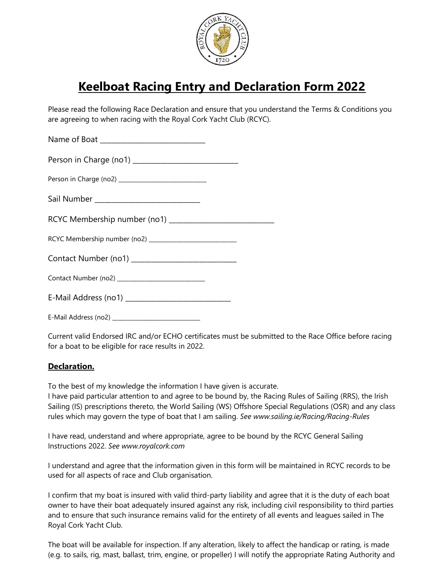

## Keelboat Racing Entry and Declaration Form 2022

Please read the following Race Declaration and ensure that you understand the Terms & Conditions you are agreeing to when racing with the Royal Cork Yacht Club (RCYC).

| Name of Boat ______________________________                |  |
|------------------------------------------------------------|--|
|                                                            |  |
|                                                            |  |
|                                                            |  |
| RCYC Membership number (no1) _____________________________ |  |
| RCYC Membership number (no2) _____________________________ |  |
|                                                            |  |
|                                                            |  |
|                                                            |  |
|                                                            |  |

E-Mail Address (no2) **E-Mail Address** (no2)

Current valid Endorsed IRC and/or ECHO certificates must be submitted to the Race Office before racing for a boat to be eligible for race results in 2022.

## Declaration.

To the best of my knowledge the information I have given is accurate.

I have paid particular attention to and agree to be bound by, the Racing Rules of Sailing (RRS), the Irish Sailing (IS) prescriptions thereto, the World Sailing (WS) Offshore Special Regulations (OSR) and any class rules which may govern the type of boat that I am sailing. See www.sailing.ie/Racing/Racing-Rules

I have read, understand and where appropriate, agree to be bound by the RCYC General Sailing Instructions 2022. See www.royalcork.com

I understand and agree that the information given in this form will be maintained in RCYC records to be used for all aspects of race and Club organisation.

I confirm that my boat is insured with valid third-party liability and agree that it is the duty of each boat owner to have their boat adequately insured against any risk, including civil responsibility to third parties and to ensure that such insurance remains valid for the entirety of all events and leagues sailed in The Royal Cork Yacht Club.

The boat will be available for inspection. If any alteration, likely to affect the handicap or rating, is made (e.g. to sails, rig, mast, ballast, trim, engine, or propeller) I will notify the appropriate Rating Authority and